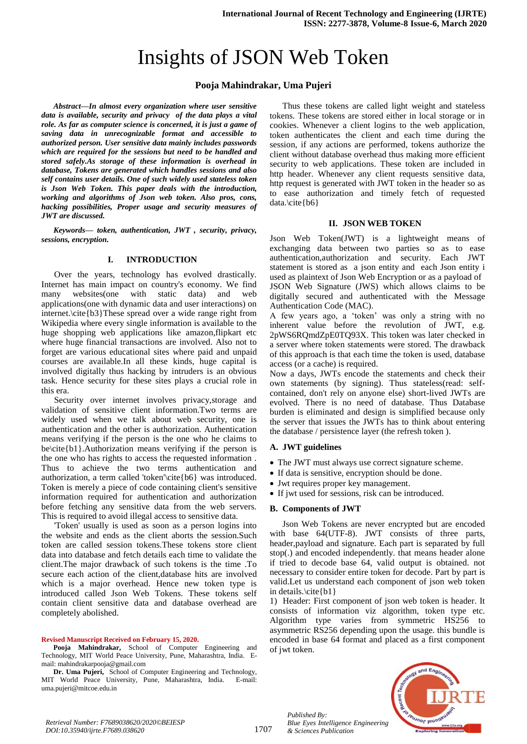# Insights of JSON Web Token

# **Pooja Mahindrakar, Uma Pujeri**

*Abstract—In almost every organization where user sensitive data is available, security and privacy of the data plays a vital role. As far as computer science is concerned, it is just a game of saving data in unrecognizable format and accessible to authorized person. User sensitive data mainly includes passwords which are required for the sessions but need to be handled and stored safely.As storage of these information is overhead in database, Tokens are generated which handles sessions and also self contains user details. One of such widely used stateless token is Json Web Token. This paper deals with the introduction, working and algorithms of Json web token. Also pros, cons, hacking possibilities, Proper usage and security measures of JWT are discussed.* 

*Keywords— token, authentication, JWT , security, privacy, sessions, encryption.*

# **I. INTRODUCTION**

Over the years, technology has evolved drastically. Internet has main impact on country's economy. We find many websites(one with static data) and web applications(one with dynamic data and user interactions) on internet.\cite{b3}These spread over a wide range right from Wikipedia where every single information is available to the huge shopping web applications like amazon,flipkart etc where huge financial transactions are involved. Also not to forget are various educational sites where paid and unpaid courses are available.In all these kinds, huge capital is involved digitally thus hacking by intruders is an obvious task. Hence security for these sites plays a crucial role in this era.

Security over internet involves privacy,storage and validation of sensitive client information.Two terms are widely used when we talk about web security, one is authentication and the other is authorization. Authentication means verifying if the person is the one who he claims to be\cite{b1}.Authorization means verifying if the person is the one who has rights to access the requested information . Thus to achieve the two terms authentication and authorization, a term called 'token'\cite{b6} was introduced. Token is merely a piece of code containing client's sensitive information required for authentication and authorization before fetching any sensitive data from the web servers. This is required to avoid illegal access to sensitive data.

'Token' usually is used as soon as a person logins into the website and ends as the client aborts the session.Such token are called session tokens.These tokens store client data into database and fetch details each time to validate the client.The major drawback of such tokens is the time .To secure each action of the client,database hits are involved which is a major overhead. Hence new token type is introduced called Json Web Tokens. These tokens self contain client sensitive data and database overhead are completely abolished.

#### **Revised Manuscript Received on February 15, 2020.**

**Pooja Mahindrakar,** School of Computer Engineering and Technology, MIT World Peace University, Pune, Maharashtra, India. Email: mahindrakarpooja@gmail.com

**Dr. Uma Pujeri,** School of Computer Engineering and Technology, MIT World Peace University, Pune, Maharashtra, India. E-mail: uma.pujeri@mitcoe.edu.in

Thus these tokens are called light weight and stateless tokens. These tokens are stored either in local storage or in cookies. Whenever a client logins to the web application, token authenticates the client and each time during the session, if any actions are performed, tokens authorize the client without database overhead thus making more efficient security to web applications. These token are included in http header. Whenever any client requests sensitive data, http request is generated with JWT token in the header so as to ease authorization and timely fetch of requested data.\cite{b6}

#### **II. JSON WEB TOKEN**

Json Web Token(JWT) is a lightweight means of exchanging data between two parties so as to ease authentication,authorization and security. Each JWT statement is stored as a json entity and each Json entity i used as plaintext of Json Web Encryption or as a payload of JSON Web Signature (JWS) which allows claims to be digitally secured and authenticated with the Message Authentication Code (MAC).

A few years ago, a 'token' was only a string with no inherent value before the revolution of JWT, e.g. 2pWS6RQmdZpE0TQ93X. This token was later checked in a server where token statements were stored. The drawback of this approach is that each time the token is used, database access (or a cache) is required.

Now a days, JWTs encode the statements and check their own statements (by signing). Thus stateless(read: selfcontained, don't rely on anyone else) short-lived JWTs are evolved. There is no need of database. Thus Database burden is eliminated and design is simplified because only the server that issues the JWTs has to think about entering the database / persistence layer (the refresh token ).

#### **A. JWT guidelines**

- The JWT must always use correct signature scheme.
- If data is sensitive, encryption should be done.
- Jwt requires proper key management.
- If jwt used for sessions, risk can be introduced.

#### **B. Components of JWT**

*Published By:*

*& Sciences Publication* 

Json Web Tokens are never encrypted but are encoded with base 64(UTF-8). JWT consists of three parts, header,payload and signature. Each part is separated by full stop(.) and encoded independently. that means header alone if tried to decode base 64, valid output is obtained. not necessary to consider entire token for decode. Part by part is valid.Let us understand each component of json web token in details.\cite{b1}

1) Header: First component of json web token is header. It consists of information viz algorithm, token type etc. Algorithm type varies from symmetric HS256 to asymmetric RS256 depending upon the usage. this bundle is encoded in base 64 format and placed as a first component of jwt token.

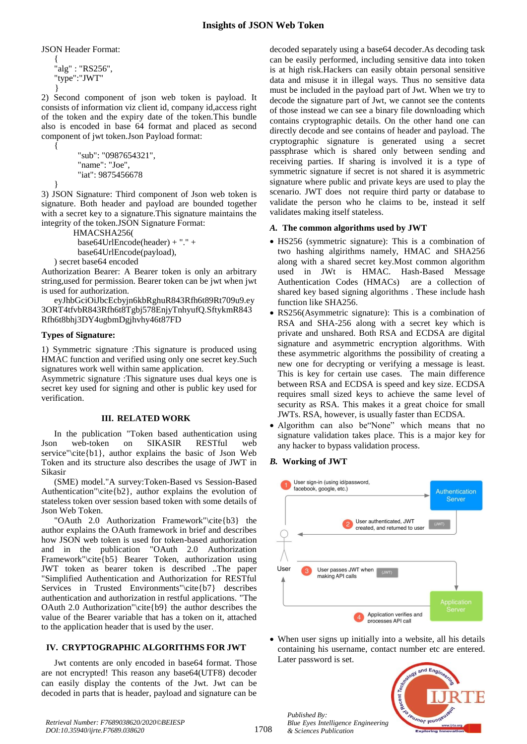JSON Header Format:

{ "alg" : "RS256", "type":"JWT" }

2) Second component of json web token is payload. It consists of information viz client id, company id,access right of the token and the expiry date of the token.This bundle also is encoded in base 64 format and placed as second component of jwt token.Json Payload format:

```
 "sub": "0987654321",
"name": "Joe",
"iat": 9875456678
```
}

{

3) JSON Signature: Third component of Json web token is signature. Both header and payload are bounded together with a secret key to a signature.This signature maintains the integrity of the token.JSON Signature Format:

HMACSHA256( base64UrlEncode(header) + "." + base64UrlEncode(payload),

) secret base64 encoded

Authorization Bearer: A Bearer token is only an arbitrary string,used for permission. Bearer token can be jwt when jwt is used for authorization.

eyJhbGciOiJbcEcbyjn6kbRghuR843Rfh6t89Rt709u9.ey 3ORT4tfvbR843Rfh6t8Tgbj578EnjyTnhyufQ.SftykmR843 Rfh6t8bhj3DY4ugbmDgjhvhy46t87FD

# **Types of Signature:**

1) Symmetric signature :This signature is produced using HMAC function and verified using only one secret key.Such signatures work well within same application.

Asymmetric signature :This signature uses dual keys one is secret key used for signing and other is public key used for verification.

# **III. RELATED WORK**

In the publication "Token based authentication using Json web-token on SIKASIR RESTful web service"\cite ${b1}$ , author explains the basic of Json Web Token and its structure also describes the usage of JWT in Sikasir

(SME) model."A survey:Token-Based vs Session-Based Authentication"\cite{b2}, author explains the evolution of stateless token over session based token with some details of Json Web Token.

"OAuth 2.0 Authorization Framework"\cite{b3} the author explains the OAuth framework in brief and describes how JSON web token is used for token-based authorization and in the publication "OAuth 2.0 Authorization Framework"\cite{b5} Bearer Token, authorization using JWT token as bearer token is described ..The paper "Simplified Authentication and Authorization for RESTful Services in Trusted Environments"\cite{b7} describes authentication and authorization in restful applications. "The OAuth 2.0 Authorization"\cite{b9} the author describes the value of the Bearer variable that has a token on it, attached to the application header that is used by the user.

# **IV. CRYPTOGRAPHIC ALGORITHMS FOR JWT**

Jwt contents are only encoded in base64 format. Those are not encrypted! This reason any base64(UTF8) decoder can easily display the contents of the Jwt. Jwt can be decoded in parts that is header, payload and signature can be

decoded separately using a base64 decoder.As decoding task can be easily performed, including sensitive data into token is at high risk.Hackers can easily obtain personal sensitive data and misuse it in illegal ways. Thus no sensitive data must be included in the payload part of Jwt. When we try to decode the signature part of Jwt, we cannot see the contents of those instead we can see a binary file downloading which contains cryptographic details. On the other hand one can directly decode and see contains of header and payload. The cryptographic signature is generated using a secret passphrase which is shared only between sending and receiving parties. If sharing is involved it is a type of symmetric signature if secret is not shared it is asymmetric signature where public and private keys are used to play the scenario. JWT does not require third party or database to validate the person who he claims to be, instead it self validates making itself stateless.

# *A.* **The common algorithms used by JWT**

- HS256 (symmetric signature): This is a combination of two hashing algirithms namely, HMAC and SHA256 along with a shared secret key.Most common algorithm used in JWt is HMAC. Hash-Based Message Authentication Codes (HMACs) are a collection of shared key based signing algorithms . These include hash function like SHA256.
- RS256(Asymmetric signature): This is a combination of RSA and SHA-256 along with a secret key which is private and unshared. Both RSA and ECDSA are digital signature and asymmetric encryption algorithms. With these asymmetric algorithms the possibility of creating a new one for decrypting or verifying a message is least. This is key for certain use cases. The main difference between RSA and ECDSA is speed and key size. ECDSA requires small sized keys to achieve the same level of security as RSA. This makes it a great choice for small JWTs. RSA, however, is usually faster than ECDSA.
- Algorithm can also be"None" which means that no signature validation takes place. This is a major key for any hacker to bypass validation process.

# *B.* **Working of JWT**



 When user signs up initially into a website, all his details containing his username, contact number etc are entered. Later password is set.



*Published By:*

*& Sciences Publication* 

*Blue Eyes Intelligence Engineering*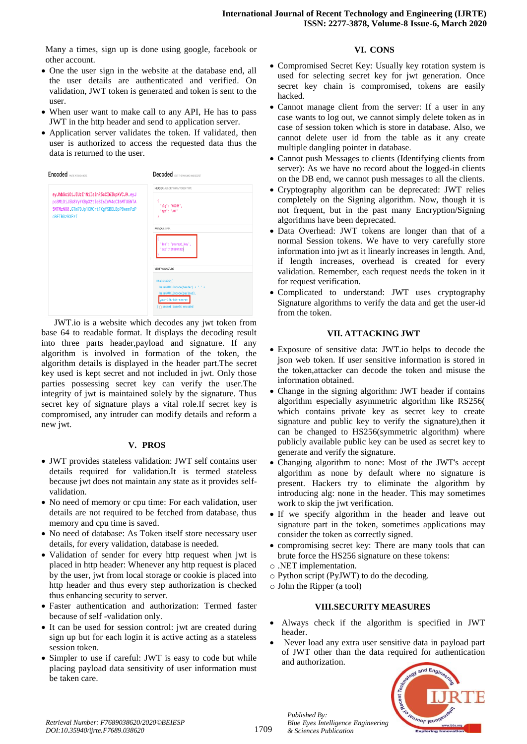Many a times, sign up is done using google, facebook or other account.

- One the user sign in the website at the database end, all the user details are authenticated and verified. On validation, JWT token is generated and token is sent to the user.
- When user want to make call to any API, He has to pass JWT in the http header and send to application server.
- Application server validates the token. If validated, then user is authorized to access the requested data thus the data is returned to the user.



JWT.io is a website which decodes any jwt token from base 64 to readable format. It displays the decoding result into three parts header,payload and signature. If any algorithm is involved in formation of the token, the algorithm details is displayed in the header part.The secret key used is kept secret and not included in jwt. Only those parties possessing secret key can verify the user.The integrity of jwt is maintained solely by the signature. Thus secret key of signature plays a vital role.If secret key is compromised, any intruder can modify details and reform a new jwt.

#### **V. PROS**

- JWT provides stateless validation: JWT self contains user details required for validation.It is termed stateless because jwt does not maintain any state as it provides selfvalidation.
- No need of memory or cpu time: For each validation, user details are not required to be fetched from database, thus memory and cpu time is saved.
- No need of database: As Token itself store necessary user details, for every validation, database is needed.
- Validation of sender for every http request when jwt is placed in http header: Whenever any http request is placed by the user, jwt from local storage or cookie is placed into http header and thus every step authorization is checked thus enhancing security to server.
- Faster authentication and authorization: Termed faster because of self -validation only.
- It can be used for session control: jwt are created during sign up but for each login it is active acting as a stateless session token.
- Simpler to use if careful: JWT is easy to code but while placing payload data sensitivity of user information must be taken care.

# **VI. CONS**

- Compromised Secret Key: Usually key rotation system is used for selecting secret key for jwt generation. Once secret key chain is compromised, tokens are easily hacked.
- Cannot manage client from the server: If a user in any case wants to log out, we cannot simply delete token as in case of session token which is store in database. Also, we cannot delete user id from the table as it any create multiple dangling pointer in database.
- Cannot push Messages to clients (Identifying clients from server): As we have no record about the logged-in clients on the DB end, we cannot push messages to all the clients.
- Cryptography algorithm can be deprecated: JWT relies completely on the Signing algorithm. Now, though it is not frequent, but in the past many Encryption/Signing algorithms have been deprecated.
- Data Overhead: JWT tokens are longer than that of a normal Session tokens. We have to very carefully store information into jwt as it linearly increases in length. And, if length increases, overhead is created for every validation. Remember, each request needs the token in it for request verification.
- Complicated to understand: JWT uses cryptography Signature algorithms to verify the data and get the user-id from the token.

## **VII. ATTACKING JWT**

- Exposure of sensitive data: JWT.io helps to decode the json web token. If user sensitive information is stored in the token,attacker can decode the token and misuse the information obtained.
- Change in the signing algorithm: JWT header if contains algorithm especially asymmetric algorithm like RS256( which contains private key as secret key to create signature and public key to verify the signature),then it can be changed to HS256(symmetric algorithm) where publicly available public key can be used as secret key to generate and verify the signature.
- Changing algorithm to none: Most of the JWT's accept algorithm as none by default where no signature is present. Hackers try to eliminate the algorithm by introducing alg: none in the header. This may sometimes work to skip the jwt verification.
- If we specify algorithm in the header and leave out signature part in the token, sometimes applications may consider the token as correctly signed.
- compromising secret key: There are many tools that can brute force the HS256 signature on these tokens:
- o .NET implementation.
- o Python script (PyJWT) to do the decoding.
- o John the Ripper (a tool)

*Published By:*

*& Sciences Publication* 

*Blue Eyes Intelligence Engineering* 

## **VIII.SECURITY MEASURES**

- Always check if the algorithm is specified in JWT header.
- Never load any extra user sensitive data in payload part of JWT other than the data required for authentication and authorization.